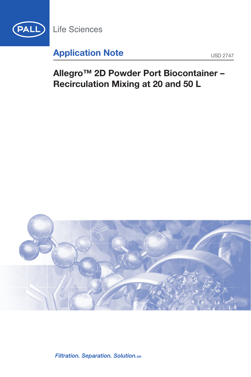

**Life Sciences** 

# **Application Note** USD 2747

# **Allegro™ 2D Powder Port Biocontainer – Recirculation Mixing at 20 and 50 L**



Filtration. Separation. Solution.sm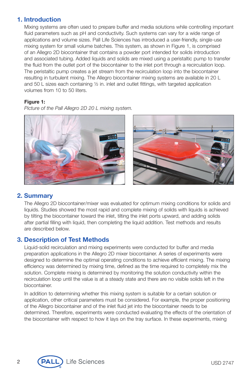## **1. Introduction**

Mixing systems are often used to prepare buffer and media solutions while controlling important fluid parameters such as pH and conductivity. Such systems can vary for a wide range of applications and volume sizes. Pall Life Sciences has introduced a user-friendly, single-use mixing system for small volume batches. This system, as shown in Figure 1, is comprised of an Allegro 2D biocontainer that contains a powder port intended for solids introduction and associated tubing. Added liquids and solids are mixed using a peristaltic pump to transfer the fluid from the outlet port of the biocontainer to the inlet port through a recirculation loop. The peristaltic pump creates a jet stream from the recirculation loop into the biocontainer resulting in turbulent mixing. The Allegro biocontainer mixing systems are available in 20 L and 50 L sizes each containing ½ in. inlet and outlet fittings, with targeted application volumes from 10 to 50 liters.

#### **Figure 1:**

*Picture of the Pall Allegro 2D 20 L mixing system.*



# **2. Summary**

The Allegro 2D biocontainer/mixer was evaluated for optimum mixing conditions for solids and liquids. Studies showed the most rapid and complete mixing of solids with liquids is achieved by tilting the biocontainer toward the inlet, tilting the inlet ports upward, and adding solids after partial filling with liquid, then completing the liquid addition. Test methods and results are described below.

# **3. Description of Test Methods**

Liquid-solid recirculation and mixing experiments were conducted for buffer and media preparation applications in the Allegro 2D mixer biocontainer. A series of experiments were designed to determine the optimal operating conditions to achieve efficient mixing. The mixing efficiency was determined by mixing time, defined as the time required to completely mix the solution. Complete mixing is determined by monitoring the solution conductivity within the recirculation loop until the value is at a steady state and there are no visible solids left in the biocontainer.

In addition to determining whether this mixing system is suitable for a certain solution or application, other critical parameters must be considered. For example, the proper positioning of the Allegro biocontainer and of the inlet fluid jet into the biocontainer needs to be determined. Therefore, experiments were conducted evaluating the effects of the orientation of the biocontainer with respect to how it lays on the tray surface. In these experiments, mixing

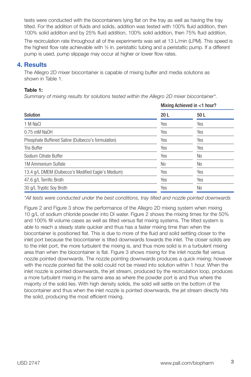tests were conducted with the biocontainers lying flat on the tray as well as having the tray tilted. For the addition of fluids and solids, addition was tested with 100% fluid addition, then 100% solid addition and by 25% fluid addition, 100% solid addition, then 75% fluid addition.

The recirculation rate throughout all of the experiments was set at 13 L/min (LPM). This speed is the highest flow rate achievable with ½ in. peristaltic tubing and a peristaltic pump. If a different pump is used, pump slippage may occur at higher or lower flow rates.

## **4. Results**

The Allegro 2D mixer biocontainer is capable of mixing buffer and media solutions as shown in Table 1.

#### **Table 1:**

*Summary of mixing results for solutions tested within the Allegro 2D mixer biocontainer\*.*

| Solution                                           | Mixing Achieved in <1 hour? |      |
|----------------------------------------------------|-----------------------------|------|
|                                                    | 20 <sub>L</sub>             | 50 L |
| 1 M NaCl                                           | Yes                         | Yes  |
| 0.75 mM NaOH                                       | Yes                         | Yes  |
| Phosphate Buffered Saline (Dulbecco's formulation) | Yes                         | Yes  |
| <b>Tris Buffer</b>                                 | Yes                         | Yes  |
| Sodium Citrate Buffer                              | Yes                         | No   |
| 1M Ammonium Sulfate                                | No                          | No   |
| 13.4 g/L DMEM (Dulbecco's Modified Eagle's Medium) | Yes                         | Yes  |
| 47.6 g/L Terrific Broth                            | Yes                         | Yes  |
| 30 g/L Tryptic Soy Broth                           | Yes                         | No   |
|                                                    |                             |      |

*\*All tests were conducted under the best conditions, tray tilted and nozzle pointed downwards*

Figure 2 and Figure 3 show the performance of the Allegro 2D mixing system when mixing 10 g/L of sodium chloride powder into DI water. Figure 2 shows the mixing times for the 50% and 100% fill volume cases as well as tilted versus flat mixing systems. The tilted system is able to reach a steady state quicker and thus has a faster mixing time than when the biocontainer is positioned flat. This is due to more of the fluid and solid settling closer to the inlet port because the biocontainer is tilted downwards towards the inlet. The closer solids are to the inlet port, the more turbulent the mixing is, and thus more solid is in a turbulent mixing area than when the biocontainer is flat. Figure 3 shows mixing for the inlet nozzle flat versus nozzle pointed downwards. The nozzle pointing downwards produces a quick mixing; however with the nozzle pointed flat the solid could not be mixed into solution within 1 hour. When the inlet nozzle is pointed downwards, the jet stream, produced by the recirculation loop, produces a more turbulent mixing in the same area as where the powder port is and thus where the majority of the solid lies. With high density solids, the solid will settle on the bottom of the biocontainer and thus when the inlet nozzle is pointed downwards, the jet stream directly hits the solid, producing the most efficient mixing.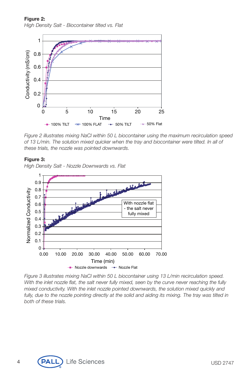**Figure 2:** *High Density Salt - Biocontainer tilted vs. Flat*



*Figure 2 illustrates mixing NaCl within 50 L biocontainer using the maximum recirculation speed of 13 L/min. The solution mixed quicker when the tray and biocontainer were tilted. In all of these trials, the nozzle was pointed downwards.*

#### **Figure 3:**

*High Density Salt - Nozzle Downwards vs. Flat*



*Figure 3 illustrates mixing NaCl within 50 L biocontainer using 13 L/min recirculation speed. With the inlet nozzle flat, the salt never fully mixed, seen by the curve never reaching the fully mixed conductivity. With the inlet nozzle pointed downwards, the solution mixed quickly and* fully, due to the nozzle pointing directly at the solid and aiding its mixing. The tray was tilted in *both of these trials.*

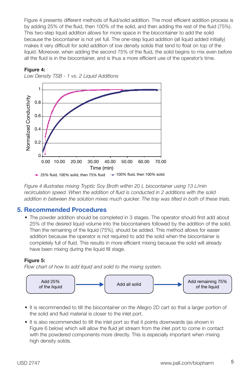Figure 4 presents different methods of fluid/solid addition. The most efficient addition process is by adding 25% of the fluid, then 100% of the solid, and then adding the rest of the fluid (75%). This two-step liquid addition allows for more space in the biocontainer to add the solid because the biocontainer is not yet full. The one-step liquid addition (all liquid added initially) makes it very difficult for solid addition of low density solids that tend to float on top of the liquid. Moreover, when adding the second 75% of the fluid, the solid begins to mix even before all the fluid is in the biocontainer, and is thus a more efficient use of the operator's time.



#### **Figure 4:**

*Low Density TSB - 1 vs. 2 Liquid Additions*

*Figure 4 illustrates mixing Tryptic Soy Broth within 20 L biocontainer using 13 L/min recirculation speed. When the addition of fluid is conducted in 2 additions with the solid addition in between the solution mixes much quicker. The tray was tilted in both of these trials.*

### **5. Recommended Procedures**

• The powder addition should be completed in 3 stages. The operator should first add about 25% of the desired liquid volume into the biocontainers followed by the addition of the solid. Then the remaining of the liquid (75%), should be added. This method allows for easier addition because the operator is not required to add the solid when the biocontainer is completely full of fluid. This results in more efficient mixing because the solid will already have been mixing during the liquid fill stage.

#### **Figure 5:**

*Flow chart of how to add liquid and solid to the mixing system.*



- It is recommended to tilt the biocontainer on the Allegro 2D cart so that a larger portion of the solid and fluid material is closer to the inlet port.
- It is also recommended to tilt the inlet port so that it points downwards (as shown in Figure 6 below) which will allow the fluid jet stream from the inlet port to come in contact with the powdered components more directly. This is especially important when mixing high density solids.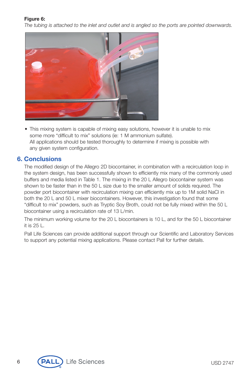#### **Figure 6:**

*The tubing is attached to the inlet and outlet and is angled so the ports are pointed downwards.*



• This mixing system is capable of mixing easy solutions, however it is unable to mix some more "difficult to mix" solutions (ie: 1 M ammonium sulfate). All applications should be tested thoroughly to determine if mixing is possible with any given system configuration.

#### **6. Conclusions**

The modified design of the Allegro 2D biocontainer, in combination with a recirculation loop in the system design, has been successfully shown to efficiently mix many of the commonly used buffers and media listed in Table 1. The mixing in the 20 L Allegro biocontainer system was shown to be faster than in the 50 L size due to the smaller amount of solids required. The powder port biocontainer with recirculation mixing can efficiently mix up to 1M solid NaCl in both the 20 L and 50 L mixer biocontainers. However, this investigation found that some "difficult to mix" powders, such as Tryptic Soy Broth, could not be fully mixed within the 50 L biocontainer using a recirculation rate of 13 L/min.

The minimum working volume for the 20 L biocontainers is 10 L, and for the 50 L biocontainer it is 25 L.

Pall Life Sciences can provide additional support through our Scientific and Laboratory Services to support any potential mixing applications. Please contact Pall for further details.